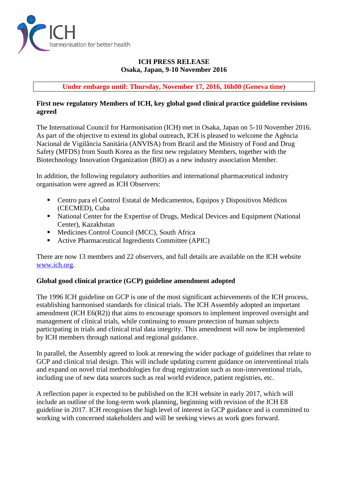

# **ICH PRESS RELEASE Osaka, Japan, 9-10 November 2016**

**Under embargo until: Thursday, November 17, 2016, 16h00 (Geneva time)**

## **First new regulatory Members of ICH, key global good clinical practice guideline revisions agreed**

The International Council for Harmonisation (ICH) met in Osaka, Japan on 5-10 November 2016. As part of the objective to extend its global outreach, ICH is pleased to welcome the Agência Nacional de Vigilância Sanitária (ANVISA) from Brazil and the Ministry of Food and Drug Safety (MFDS) from South Korea as the first new regulatory Members, together with the Biotechnology Innovation Organization (BIO) as a new industry association Member.

In addition, the following regulatory authorities and international pharmaceutical industry organisation were agreed as ICH Observers:

- Centro para el Control Estatal de Medicamentos, Equipos y Dispositivos Médicos (CECMED), Cuba
- National Center for the Expertise of Drugs, Medical Devices and Equipment (National Center), Kazakhstan
- Medicines Control Council (MCC), South Africa
- Active Pharmaceutical Ingredients Committee (APIC)

There are now 13 members and 22 observers, and full details are available on the ICH website [www.ich.org.](http://www.ich.org/)

## **Global good clinical practice (GCP) guideline amendment adopted**

The 1996 ICH guideline on GCP is one of the most significant achievements of the ICH process, establishing harmonised standards for clinical trials. The ICH Assembly adopted an important amendment (ICH E6(R2)) that aims to encourage sponsors to implement improved oversight and management of clinical trials, while continuing to ensure protection of human subjects participating in trials and clinical trial data integrity. This amendment will now be implemented by ICH members through national and regional guidance.

In parallel, the Assembly agreed to look at renewing the wider package of guidelines that relate to GCP and clinical trial design. This will include updating current guidance on interventional trials and expand on novel trial methodologies for drug registration such as non-interventional trials, including use of new data sources such as real world evidence, patient registries, etc.

A reflection paper is expected to be published on the ICH website in early 2017, which will include an outline of the long-term work planning, beginning with revision of the ICH E8 guideline in 2017. ICH recognises the high level of interest in GCP guidance and is committed to working with concerned stakeholders and will be seeking views as work goes forward.